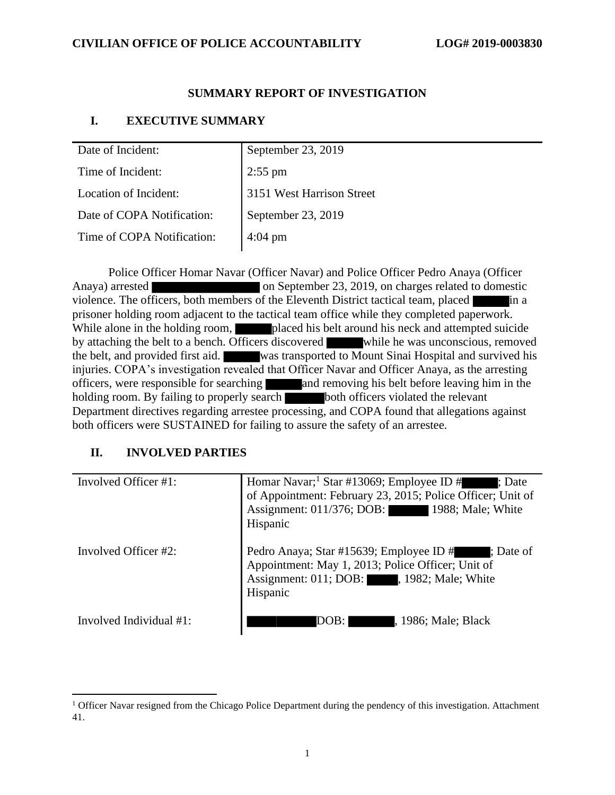## **SUMMARY REPORT OF INVESTIGATION**

## **I. EXECUTIVE SUMMARY**

| Date of Incident:          | September 23, 2019        |
|----------------------------|---------------------------|
| Time of Incident:          | $2:55$ pm                 |
| Location of Incident:      | 3151 West Harrison Street |
| Date of COPA Notification: | September 23, 2019        |
| Time of COPA Notification: | $4:04 \text{ pm}$         |

Police Officer Homar Navar (Officer Navar) and Police Officer Pedro Anaya (Officer Anaya) arrested on September 23, 2019, on charges related to domestic violence. The officers, both members of the Eleventh District tactical team, placed in a prisoner holding room adjacent to the tactical team office while they completed paperwork. While alone in the holding room, placed his belt around his neck and attempted suicide by attaching the belt to a bench. Officers discovered while he was unconscious, removed the belt, and provided first aid. was transported to Mount Sinai Hospital and survived his injuries. COPA's investigation revealed that Officer Navar and Officer Anaya, as the arresting officers, were responsible for searching and removing his belt before leaving him in the holding room. By failing to properly search both officers violated the relevant Department directives regarding arrestee processing, and COPA found that allegations against both officers were SUSTAINED for failing to assure the safety of an arrestee.

## **II. INVOLVED PARTIES**

| Involved Officer #1:    | Homar Navar; <sup>1</sup> Star #13069; Employee ID #<br>: Date<br>of Appointment: February 23, 2015; Police Officer; Unit of<br>Assignment: 011/376; DOB: 1988; Male; White<br>Hispanic |
|-------------------------|-----------------------------------------------------------------------------------------------------------------------------------------------------------------------------------------|
| Involved Officer #2:    | Pedro Anaya; Star #15639; Employee ID # ; Date of<br>Appointment: May 1, 2013; Police Officer; Unit of<br>Assignment: 011; DOB: 1982; Male; White<br>Hispanic                           |
| Involved Individual #1: | DOB:<br>, 1986; Male; Black                                                                                                                                                             |

<sup>&</sup>lt;sup>1</sup> Officer Navar resigned from the Chicago Police Department during the pendency of this investigation. Attachment 41.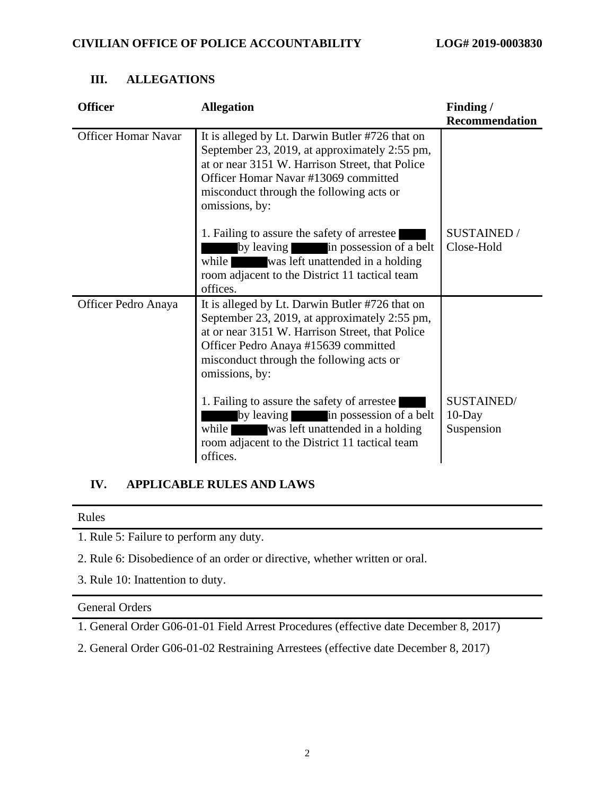| <b>Officer</b>             | <b>Allegation</b>                                                                                                                                                                                                                                         | Finding/                              |
|----------------------------|-----------------------------------------------------------------------------------------------------------------------------------------------------------------------------------------------------------------------------------------------------------|---------------------------------------|
|                            |                                                                                                                                                                                                                                                           | <b>Recommendation</b>                 |
| <b>Officer Homar Navar</b> | It is alleged by Lt. Darwin Butler #726 that on<br>September 23, 2019, at approximately 2:55 pm,<br>at or near 3151 W. Harrison Street, that Police<br>Officer Homar Navar #13069 committed<br>misconduct through the following acts or<br>omissions, by: |                                       |
|                            | 1. Failing to assure the safety of arrestee<br>by leaving<br>in possession of a belt<br>while<br>was left unattended in a holding<br>room adjacent to the District 11 tactical team<br>offices.                                                           | <b>SUSTAINED /</b><br>Close-Hold      |
| Officer Pedro Anaya        | It is alleged by Lt. Darwin Butler #726 that on<br>September 23, 2019, at approximately 2:55 pm,<br>at or near 3151 W. Harrison Street, that Police<br>Officer Pedro Anaya #15639 committed<br>misconduct through the following acts or<br>omissions, by: |                                       |
|                            | 1. Failing to assure the safety of arrestee<br>by leaving in possession of a belt<br>while<br>was left unattended in a holding<br>room adjacent to the District 11 tactical team<br>offices.                                                              | SUSTAINED/<br>$10$ -Day<br>Suspension |

## **III. ALLEGATIONS**

## **IV. APPLICABLE RULES AND LAWS**

Rules

1. Rule 5: Failure to perform any duty.

2. Rule 6: Disobedience of an order or directive, whether written or oral.

3. Rule 10: Inattention to duty.

#### General Orders

1. General Order G06-01-01 Field Arrest Procedures (effective date December 8, 2017)

2. General Order G06-01-02 Restraining Arrestees (effective date December 8, 2017)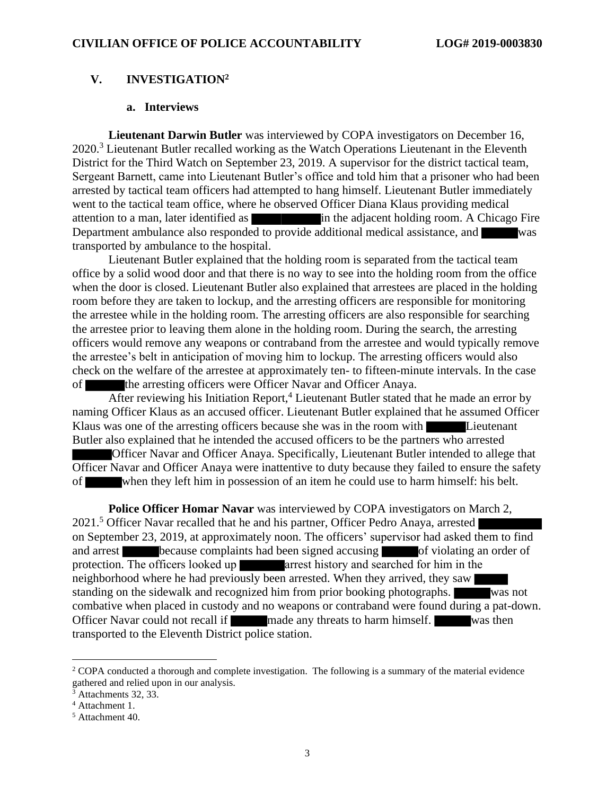### **V. INVESTIGATION<sup>2</sup>**

#### **a. Interviews**

**Lieutenant Darwin Butler** was interviewed by COPA investigators on December 16, 2020.<sup>3</sup> Lieutenant Butler recalled working as the Watch Operations Lieutenant in the Eleventh District for the Third Watch on September 23, 2019. A supervisor for the district tactical team, Sergeant Barnett, came into Lieutenant Butler's office and told him that a prisoner who had been arrested by tactical team officers had attempted to hang himself. Lieutenant Butler immediately went to the tactical team office, where he observed Officer Diana Klaus providing medical attention to a man, later identified as in the adjacent holding room. A Chicago Fire Department ambulance also responded to provide additional medical assistance, and was transported by ambulance to the hospital.

Lieutenant Butler explained that the holding room is separated from the tactical team office by a solid wood door and that there is no way to see into the holding room from the office when the door is closed. Lieutenant Butler also explained that arrestees are placed in the holding room before they are taken to lockup, and the arresting officers are responsible for monitoring the arrestee while in the holding room. The arresting officers are also responsible for searching the arrestee prior to leaving them alone in the holding room. During the search, the arresting officers would remove any weapons or contraband from the arrestee and would typically remove the arrestee's belt in anticipation of moving him to lockup. The arresting officers would also check on the welfare of the arrestee at approximately ten- to fifteen-minute intervals. In the case of the arresting officers were Officer Navar and Officer Anaya.

After reviewing his Initiation Report,<sup>4</sup> Lieutenant Butler stated that he made an error by naming Officer Klaus as an accused officer. Lieutenant Butler explained that he assumed Officer Klaus was one of the arresting officers because she was in the room with Lieutenant Butler also explained that he intended the accused officers to be the partners who arrested

Officer Navar and Officer Anaya. Specifically, Lieutenant Butler intended to allege that Officer Navar and Officer Anaya were inattentive to duty because they failed to ensure the safety of when they left him in possession of an item he could use to harm himself: his belt.

**Police Officer Homar Navar** was interviewed by COPA investigators on March 2, 2021.<sup>5</sup> Officer Navar recalled that he and his partner, Officer Pedro Anaya, arrested on September 23, 2019, at approximately noon. The officers' supervisor had asked them to find and arrest because complaints had been signed accusing of violating an order of protection. The officers looked up **arrest** history and searched for him in the neighborhood where he had previously been arrested. When they arrived, they saw standing on the sidewalk and recognized him from prior booking photographs. was not combative when placed in custody and no weapons or contraband were found during a pat-down. Officer Navar could not recall if made any threats to harm himself. was then transported to the Eleventh District police station.

<sup>&</sup>lt;sup>2</sup> COPA conducted a thorough and complete investigation. The following is a summary of the material evidence gathered and relied upon in our analysis.

 $3$  Attachments 32, 33.

<sup>4</sup> Attachment 1.

<sup>5</sup> Attachment 40.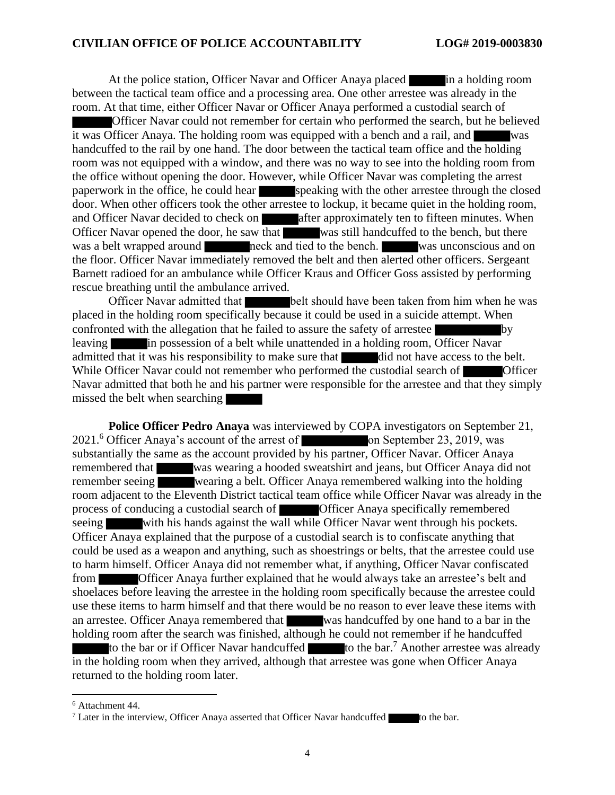At the police station, Officer Navar and Officer Anaya placed in a holding room between the tactical team office and a processing area. One other arrestee was already in the room. At that time, either Officer Navar or Officer Anaya performed a custodial search of

Officer Navar could not remember for certain who performed the search, but he believed it was Officer Anaya. The holding room was equipped with a bench and a rail, and was handcuffed to the rail by one hand. The door between the tactical team office and the holding room was not equipped with a window, and there was no way to see into the holding room from the office without opening the door. However, while Officer Navar was completing the arrest paperwork in the office, he could hear speaking with the other arrestee through the closed door. When other officers took the other arrestee to lockup, it became quiet in the holding room, and Officer Navar decided to check on after approximately ten to fifteen minutes. When Officer Navar opened the door, he saw that was still handcuffed to the bench, but there was a belt wrapped around neck and tied to the bench. Was unconscious and on the floor. Officer Navar immediately removed the belt and then alerted other officers. Sergeant Barnett radioed for an ambulance while Officer Kraus and Officer Goss assisted by performing rescue breathing until the ambulance arrived.

Officer Navar admitted that belt should have been taken from him when he was placed in the holding room specifically because it could be used in a suicide attempt. When confronted with the allegation that he failed to assure the safety of arrestee by leaving in possession of a belt while unattended in a holding room, Officer Navar admitted that it was his responsibility to make sure that did not have access to the belt. While Officer Navar could not remember who performed the custodial search of Officer Navar admitted that both he and his partner were responsible for the arrestee and that they simply missed the belt when searching

**Police Officer Pedro Anaya** was interviewed by COPA investigators on September 21, 2021.<sup>6</sup> Officer Anaya's account of the arrest of **on** September 23, 2019, was substantially the same as the account provided by his partner, Officer Navar. Officer Anaya remembered that was wearing a hooded sweatshirt and jeans, but Officer Anaya did not remember seeing wearing a belt. Officer Anaya remembered walking into the holding room adjacent to the Eleventh District tactical team office while Officer Navar was already in the process of conducing a custodial search of Officer Anaya specifically remembered seeing with his hands against the wall while Officer Navar went through his pockets. Officer Anaya explained that the purpose of a custodial search is to confiscate anything that could be used as a weapon and anything, such as shoestrings or belts, that the arrestee could use to harm himself. Officer Anaya did not remember what, if anything, Officer Navar confiscated from Officer Anaya further explained that he would always take an arrestee's belt and shoelaces before leaving the arrestee in the holding room specifically because the arrestee could use these items to harm himself and that there would be no reason to ever leave these items with an arrestee. Officer Anaya remembered that was handcuffed by one hand to a bar in the holding room after the search was finished, although he could not remember if he handcuffed to the bar or if Officer Navar handcuffed  $\bullet$  to the bar.<sup>7</sup> Another arrestee was already in the holding room when they arrived, although that arrestee was gone when Officer Anaya returned to the holding room later.

<sup>6</sup> Attachment 44.

<sup>&</sup>lt;sup>7</sup> Later in the interview, Officer Anaya asserted that Officer Navar handcuffed to the bar.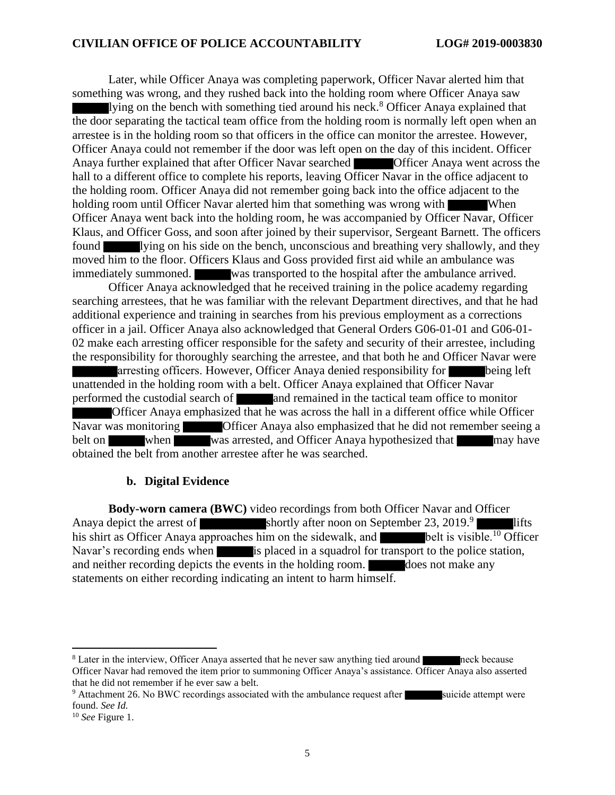Later, while Officer Anaya was completing paperwork, Officer Navar alerted him that something was wrong, and they rushed back into the holding room where Officer Anaya saw lying on the bench with something tied around his neck.<sup>8</sup> Officer Anaya explained that the door separating the tactical team office from the holding room is normally left open when an arrestee is in the holding room so that officers in the office can monitor the arrestee. However, Officer Anaya could not remember if the door was left open on the day of this incident. Officer Anaya further explained that after Officer Navar searched **Officer Anaya went across the** hall to a different office to complete his reports, leaving Officer Navar in the office adjacent to the holding room. Officer Anaya did not remember going back into the office adjacent to the holding room until Officer Navar alerted him that something was wrong with When Officer Anaya went back into the holding room, he was accompanied by Officer Navar, Officer Klaus, and Officer Goss, and soon after joined by their supervisor, Sergeant Barnett. The officers found lying on his side on the bench, unconscious and breathing very shallowly, and they moved him to the floor. Officers Klaus and Goss provided first aid while an ambulance was immediately summoned. was transported to the hospital after the ambulance arrived.

Officer Anaya acknowledged that he received training in the police academy regarding searching arrestees, that he was familiar with the relevant Department directives, and that he had additional experience and training in searches from his previous employment as a corrections officer in a jail. Officer Anaya also acknowledged that General Orders G06-01-01 and G06-01- 02 make each arresting officer responsible for the safety and security of their arrestee, including the responsibility for thoroughly searching the arrestee, and that both he and Officer Navar were arresting officers. However, Officer Anaya denied responsibility for being left unattended in the holding room with a belt. Officer Anaya explained that Officer Navar performed the custodial search of and remained in the tactical team office to monitor Officer Anaya emphasized that he was across the hall in a different office while Officer Navar was monitoring Officer Anaya also emphasized that he did not remember seeing a belt on when was arrested, and Officer Anaya hypothesized that may have obtained the belt from another arrestee after he was searched.

#### **b. Digital Evidence**

**Body-worn camera (BWC)** video recordings from both Officer Navar and Officer Anaya depict the arrest of shortly after noon on September 23, 2019.<sup>9</sup> lifts his shirt as Officer Anaya approaches him on the sidewalk, and  $\blacksquare$  belt is visible.<sup>10</sup> Officer Navar's recording ends when is placed in a squadrol for transport to the police station, and neither recording depicts the events in the holding room.  $\Box$  does not make any statements on either recording indicating an intent to harm himself.

<sup>&</sup>lt;sup>8</sup> Later in the interview, Officer Anaya asserted that he never saw anything tied around neck because Officer Navar had removed the item prior to summoning Officer Anaya's assistance. Officer Anaya also asserted that he did not remember if he ever saw a belt.

<sup>&</sup>lt;sup>9</sup> Attachment 26. No BWC recordings associated with the ambulance request after suicide attempt were found. *See Id.*

<sup>10</sup> *See* Figure 1.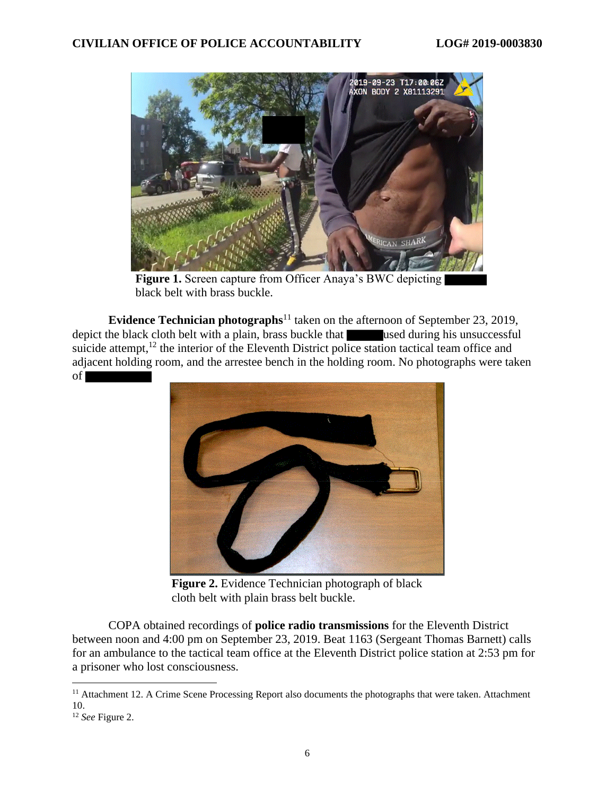

Figure 1. Screen capture from Officer Anaya's BWC depicting black belt with brass buckle.

**Evidence Technician photographs**<sup>11</sup> taken on the afternoon of September 23, 2019, depict the black cloth belt with a plain, brass buckle that used during his unsuccessful suicide attempt, $12$  the interior of the Eleventh District police station tactical team office and adjacent holding room, and the arrestee bench in the holding room. No photographs were taken of



**Figure 2.** Evidence Technician photograph of black cloth belt with plain brass belt buckle.

COPA obtained recordings of **police radio transmissions** for the Eleventh District between noon and 4:00 pm on September 23, 2019. Beat 1163 (Sergeant Thomas Barnett) calls for an ambulance to the tactical team office at the Eleventh District police station at 2:53 pm for a prisoner who lost consciousness.

<sup>&</sup>lt;sup>11</sup> Attachment 12. A Crime Scene Processing Report also documents the photographs that were taken. Attachment 10.

<sup>12</sup> *See* Figure 2.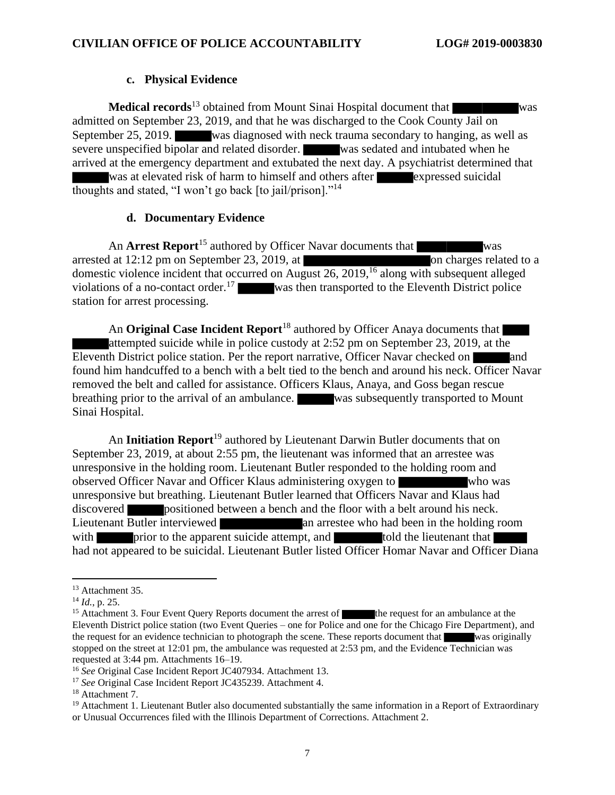#### **c. Physical Evidence**

**Medical records**<sup>13</sup> obtained from Mount Sinai Hospital document that was admitted on September 23, 2019, and that he was discharged to the Cook County Jail on September 25, 2019. was diagnosed with neck trauma secondary to hanging, as well as severe unspecified bipolar and related disorder. was sedated and intubated when he arrived at the emergency department and extubated the next day. A psychiatrist determined that was at elevated risk of harm to himself and others after expressed suicidal thoughts and stated, "I won't go back [to jail/prison]."<sup>14</sup>

### **d. Documentary Evidence**

An **Arrest Report**<sup>15</sup> authored by Officer Navar documents that was arrested at 12:12 pm on September 23, 2019, at on charges related to a domestic violence incident that occurred on August 26, 2019,<sup>16</sup> along with subsequent alleged violations of a no-contact order.<sup>17</sup> was then transported to the Eleventh District police station for arrest processing.

An **Original Case Incident Report**<sup>18</sup> authored by Officer Anaya documents that attempted suicide while in police custody at 2:52 pm on September 23, 2019, at the Eleventh District police station. Per the report narrative, Officer Navar checked on and found him handcuffed to a bench with a belt tied to the bench and around his neck. Officer Navar removed the belt and called for assistance. Officers Klaus, Anaya, and Goss began rescue breathing prior to the arrival of an ambulance. was subsequently transported to Mount Sinai Hospital.

An **Initiation Report**<sup>19</sup> authored by Lieutenant Darwin Butler documents that on September 23, 2019, at about 2:55 pm, the lieutenant was informed that an arrestee was unresponsive in the holding room. Lieutenant Butler responded to the holding room and observed Officer Navar and Officer Klaus administering oxygen to who was unresponsive but breathing. Lieutenant Butler learned that Officers Navar and Klaus had discovered positioned between a bench and the floor with a belt around his neck. Lieutenant Butler interviewed an arrestee who had been in the holding room with prior to the apparent suicide attempt, and told the lieutenant that had not appeared to be suicidal. Lieutenant Butler listed Officer Homar Navar and Officer Diana

<sup>&</sup>lt;sup>13</sup> Attachment 35.

<sup>14</sup> *Id.*, p. 25.

<sup>&</sup>lt;sup>15</sup> Attachment 3. Four Event Query Reports document the arrest of the request for an ambulance at the Eleventh District police station (two Event Queries – one for Police and one for the Chicago Fire Department), and the request for an evidence technician to photograph the scene. These reports document that was originally stopped on the street at 12:01 pm, the ambulance was requested at 2:53 pm, and the Evidence Technician was requested at 3:44 pm. Attachments 16–19.

<sup>16</sup> *See* Original Case Incident Report JC407934. Attachment 13.

<sup>17</sup> *See* Original Case Incident Report JC435239. Attachment 4.

<sup>18</sup> Attachment 7.

 $19$  Attachment 1. Lieutenant Butler also documented substantially the same information in a Report of Extraordinary or Unusual Occurrences filed with the Illinois Department of Corrections. Attachment 2.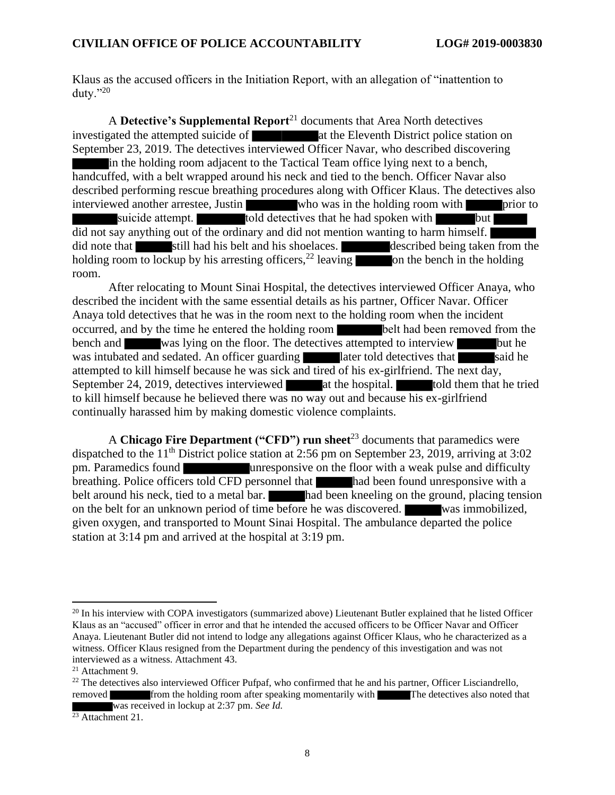Klaus as the accused officers in the Initiation Report, with an allegation of "inattention to duty."20

A **Detective's Supplemental Report**<sup>21</sup> documents that Area North detectives investigated the attempted suicide of **at the Eleventh District police station on** September 23, 2019. The detectives interviewed Officer Navar, who described discovering in the holding room adjacent to the Tactical Team office lying next to a bench, handcuffed, with a belt wrapped around his neck and tied to the bench. Officer Navar also described performing rescue breathing procedures along with Officer Klaus. The detectives also interviewed another arrestee, Justin who was in the holding room with prior to suicide attempt.  $\overline{\phantom{a}}$  told detectives that he had spoken with but did not say anything out of the ordinary and did not mention wanting to harm himself. did note that still had his belt and his shoelaces. described being taken from the holding room to lockup by his arresting officers,<sup>22</sup> leaving on the bench in the holding room.

After relocating to Mount Sinai Hospital, the detectives interviewed Officer Anaya, who described the incident with the same essential details as his partner, Officer Navar. Officer Anaya told detectives that he was in the room next to the holding room when the incident occurred, and by the time he entered the holding room belt had been removed from the bench and was lying on the floor. The detectives attempted to interview but he was intubated and sedated. An officer guarding later told detectives that said he attempted to kill himself because he was sick and tired of his ex-girlfriend. The next day, September 24, 2019, detectives interviewed at the hospital. told them that he tried to kill himself because he believed there was no way out and because his ex-girlfriend continually harassed him by making domestic violence complaints.

A **Chicago Fire Department ("CFD") run sheet**<sup>23</sup> documents that paramedics were dispatched to the 11<sup>th</sup> District police station at 2:56 pm on September 23, 2019, arriving at 3:02 pm. Paramedics found unresponsive on the floor with a weak pulse and difficulty breathing. Police officers told CFD personnel that had been found unresponsive with a belt around his neck, tied to a metal bar. had been kneeling on the ground, placing tension on the belt for an unknown period of time before he was discovered. was immobilized, given oxygen, and transported to Mount Sinai Hospital. The ambulance departed the police station at 3:14 pm and arrived at the hospital at 3:19 pm.

<sup>&</sup>lt;sup>20</sup> In his interview with COPA investigators (summarized above) Lieutenant Butler explained that he listed Officer Klaus as an "accused" officer in error and that he intended the accused officers to be Officer Navar and Officer Anaya. Lieutenant Butler did not intend to lodge any allegations against Officer Klaus, who he characterized as a witness. Officer Klaus resigned from the Department during the pendency of this investigation and was not interviewed as a witness. Attachment 43.

<sup>21</sup> Attachment 9.

 $^{22}$  The detectives also interviewed Officer Pufpaf, who confirmed that he and his partner, Officer Lisciandrello, removed from the holding room after speaking momentarily with The detectives also noted that was received in lockup at 2:37 pm. *See Id.*

 $\frac{23}{23}$  Attachment 21.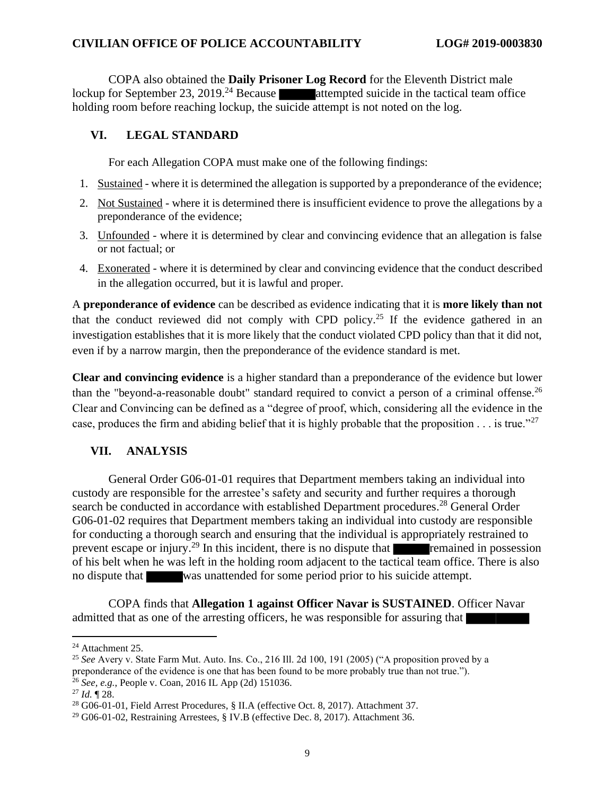#### **CIVILIAN OFFICE OF POLICE ACCOUNTABILITY LOG# 2019-0003830**

COPA also obtained the **Daily Prisoner Log Record** for the Eleventh District male lockup for September 23, 2019.<sup>24</sup> Because **attempted suicide in the tactical team office** holding room before reaching lockup, the suicide attempt is not noted on the log.

### **VI. LEGAL STANDARD**

For each Allegation COPA must make one of the following findings:

- 1. Sustained where it is determined the allegation is supported by a preponderance of the evidence;
- 2. Not Sustained where it is determined there is insufficient evidence to prove the allegations by a preponderance of the evidence;
- 3. Unfounded where it is determined by clear and convincing evidence that an allegation is false or not factual; or
- 4. Exonerated where it is determined by clear and convincing evidence that the conduct described in the allegation occurred, but it is lawful and proper.

A **preponderance of evidence** can be described as evidence indicating that it is **more likely than not** that the conduct reviewed did not comply with CPD policy.<sup>25</sup> If the evidence gathered in an investigation establishes that it is more likely that the conduct violated CPD policy than that it did not, even if by a narrow margin, then the preponderance of the evidence standard is met.

**Clear and convincing evidence** is a higher standard than a preponderance of the evidence but lower than the "beyond-a-reasonable doubt" standard required to convict a person of a criminal offense.<sup>26</sup> Clear and Convincing can be defined as a "degree of proof, which, considering all the evidence in the case, produces the firm and abiding belief that it is highly probable that the proposition  $\dots$  is true."<sup>27</sup>

## **VII. ANALYSIS**

General Order G06-01-01 requires that Department members taking an individual into custody are responsible for the arrestee's safety and security and further requires a thorough search be conducted in accordance with established Department procedures.<sup>28</sup> General Order G06-01-02 requires that Department members taking an individual into custody are responsible for conducting a thorough search and ensuring that the individual is appropriately restrained to prevent escape or injury.<sup>29</sup> In this incident, there is no dispute that **remained** in possession of his belt when he was left in the holding room adjacent to the tactical team office. There is also no dispute that was unattended for some period prior to his suicide attempt.

COPA finds that **Allegation 1 against Officer Navar is SUSTAINED**. Officer Navar admitted that as one of the arresting officers, he was responsible for assuring that

<sup>&</sup>lt;sup>24</sup> Attachment 25.

<sup>25</sup> *See* Avery v. State Farm Mut. Auto. Ins. Co., 216 Ill. 2d 100, 191 (2005) ("A proposition proved by a preponderance of the evidence is one that has been found to be more probably true than not true."). <sup>26</sup> *See, e.g.*, People v. Coan, 2016 IL App (2d) 151036.

<sup>27</sup> *Id.* ¶ 28.

<sup>28</sup> G06-01-01, Field Arrest Procedures, § II.A (effective Oct. 8, 2017). Attachment 37.

<sup>29</sup> G06-01-02, Restraining Arrestees, § IV.B (effective Dec. 8, 2017). Attachment 36.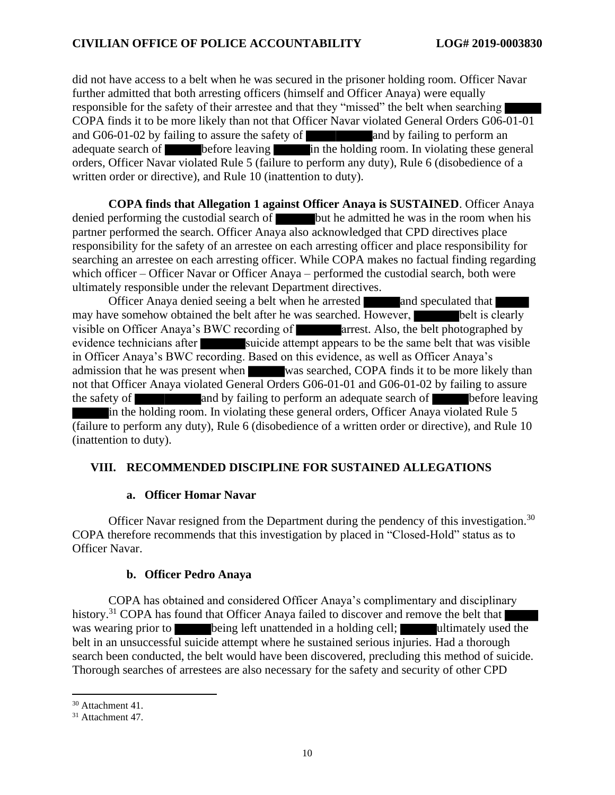did not have access to a belt when he was secured in the prisoner holding room. Officer Navar further admitted that both arresting officers (himself and Officer Anaya) were equally responsible for the safety of their arrestee and that they "missed" the belt when searching COPA finds it to be more likely than not that Officer Navar violated General Orders G06-01-01 and  $G06-01-02$  by failing to assure the safety of and by failing to perform an adequate search of before leaving in the holding room. In violating these general orders, Officer Navar violated Rule 5 (failure to perform any duty), Rule 6 (disobedience of a written order or directive), and Rule 10 (inattention to duty).

**COPA finds that Allegation 1 against Officer Anaya is SUSTAINED**. Officer Anaya denied performing the custodial search of  $\blacksquare$  but he admitted he was in the room when his partner performed the search. Officer Anaya also acknowledged that CPD directives place responsibility for the safety of an arrestee on each arresting officer and place responsibility for searching an arrestee on each arresting officer. While COPA makes no factual finding regarding which officer – Officer Navar or Officer Anaya – performed the custodial search, both were ultimately responsible under the relevant Department directives.

Officer Anaya denied seeing a belt when he arrested and speculated that may have somehow obtained the belt after he was searched. However, belt is clearly visible on Officer Anaya's BWC recording of **arrest.** Also, the belt photographed by evidence technicians after suicide attempt appears to be the same belt that was visible in Officer Anaya's BWC recording. Based on this evidence, as well as Officer Anaya's admission that he was present when was searched, COPA finds it to be more likely than not that Officer Anaya violated General Orders G06-01-01 and G06-01-02 by failing to assure the safety of and by failing to perform an adequate search of before leaving in the holding room. In violating these general orders, Officer Anaya violated Rule 5 (failure to perform any duty), Rule 6 (disobedience of a written order or directive), and Rule 10 (inattention to duty).

## **VIII. RECOMMENDED DISCIPLINE FOR SUSTAINED ALLEGATIONS**

#### **a. Officer Homar Navar**

Officer Navar resigned from the Department during the pendency of this investigation.<sup>30</sup> COPA therefore recommends that this investigation by placed in "Closed-Hold" status as to Officer Navar.

#### **b. Officer Pedro Anaya**

COPA has obtained and considered Officer Anaya's complimentary and disciplinary history.<sup>31</sup> COPA has found that Officer Anaya failed to discover and remove the belt that was wearing prior to being left unattended in a holding cell; ultimately used the belt in an unsuccessful suicide attempt where he sustained serious injuries. Had a thorough search been conducted, the belt would have been discovered, precluding this method of suicide. Thorough searches of arrestees are also necessary for the safety and security of other CPD

<sup>30</sup> Attachment 41.

<sup>&</sup>lt;sup>31</sup> Attachment 47.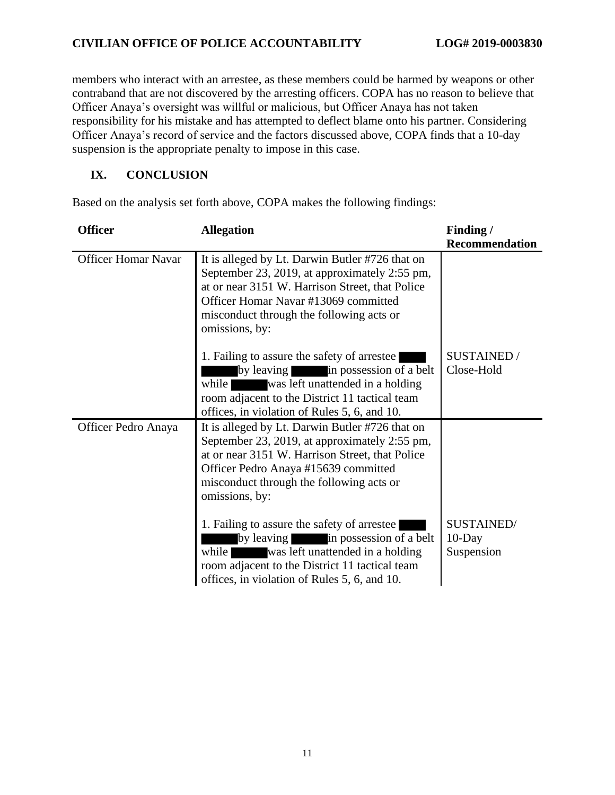## **CIVILIAN OFFICE OF POLICE ACCOUNTABILITY LOG# 2019-0003830**

members who interact with an arrestee, as these members could be harmed by weapons or other contraband that are not discovered by the arresting officers. COPA has no reason to believe that Officer Anaya's oversight was willful or malicious, but Officer Anaya has not taken responsibility for his mistake and has attempted to deflect blame onto his partner. Considering Officer Anaya's record of service and the factors discussed above, COPA finds that a 10-day suspension is the appropriate penalty to impose in this case.

## **IX. CONCLUSION**

Based on the analysis set forth above, COPA makes the following findings:

| <b>Officer</b>             | <b>Allegation</b>                                                                                                                                                                                                                                         | Finding /<br><b>Recommendation</b>    |
|----------------------------|-----------------------------------------------------------------------------------------------------------------------------------------------------------------------------------------------------------------------------------------------------------|---------------------------------------|
| <b>Officer Homar Navar</b> | It is alleged by Lt. Darwin Butler #726 that on<br>September 23, 2019, at approximately 2:55 pm,<br>at or near 3151 W. Harrison Street, that Police<br>Officer Homar Navar #13069 committed<br>misconduct through the following acts or<br>omissions, by: |                                       |
|                            | 1. Failing to assure the safety of arrestee<br>by leaving<br>in possession of a belt<br>was left unattended in a holding<br>while<br>room adjacent to the District 11 tactical team<br>offices, in violation of Rules 5, 6, and 10.                       | <b>SUSTAINED /</b><br>Close-Hold      |
| Officer Pedro Anaya        | It is alleged by Lt. Darwin Butler #726 that on<br>September 23, 2019, at approximately 2:55 pm,<br>at or near 3151 W. Harrison Street, that Police<br>Officer Pedro Anaya #15639 committed<br>misconduct through the following acts or<br>omissions, by: |                                       |
|                            | 1. Failing to assure the safety of arrestee<br>by leaving in possession of a belt<br>while<br>was left unattended in a holding<br>room adjacent to the District 11 tactical team<br>offices, in violation of Rules 5, 6, and 10.                          | SUSTAINED/<br>$10$ -Day<br>Suspension |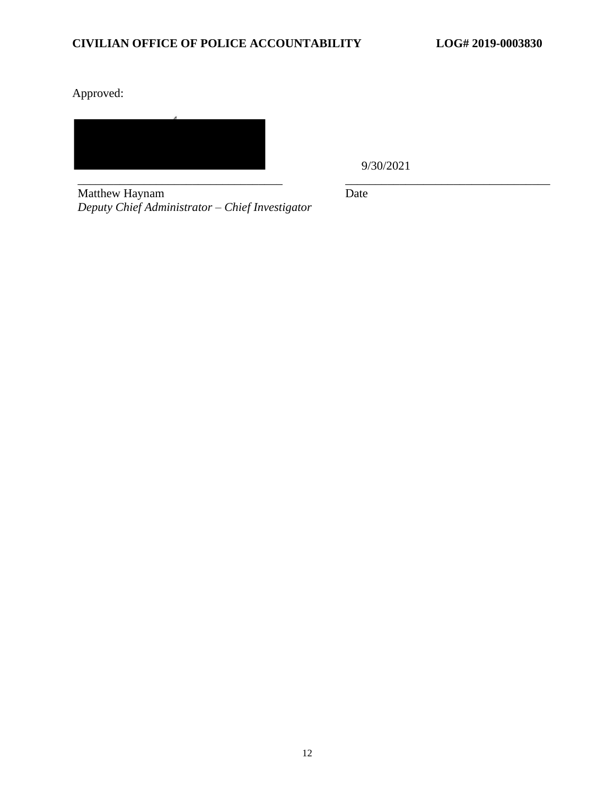Approved:

\_\_\_\_\_\_\_\_\_\_\_\_\_\_\_\_\_\_\_\_\_\_\_\_\_\_\_\_\_\_\_\_\_\_ \_\_\_\_\_\_\_\_\_\_\_\_\_\_\_\_\_\_\_\_\_\_\_\_\_\_\_\_\_\_\_\_\_\_

9/30/2021

Matthew Haynam *Deputy Chief Administrator – Chief Investigator* Date